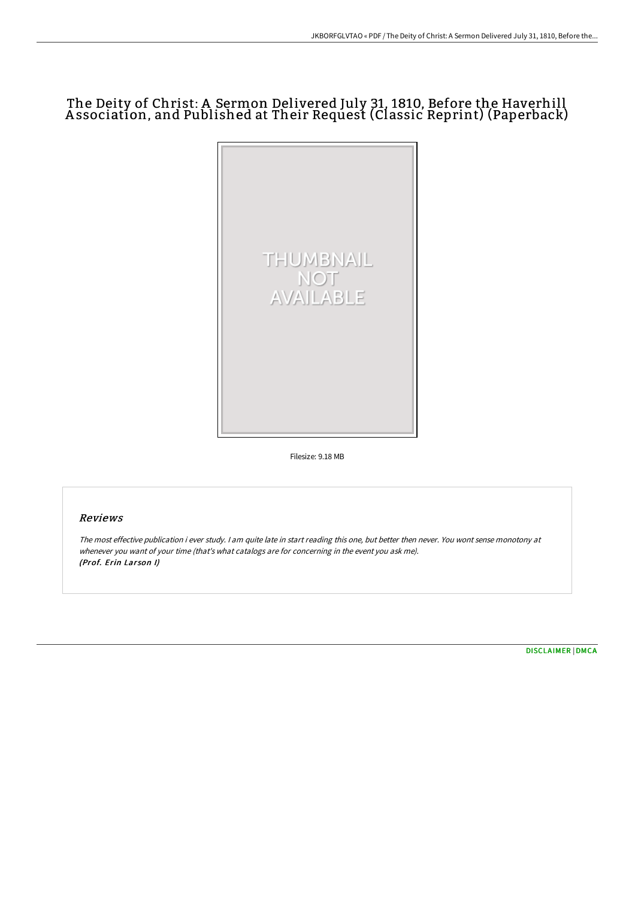## The Deity of Christ: A Sermon Delivered July 31, 1810, Before the Haverhill A ssociation, and Published at Their Request (Classic Reprint) (Paperback)



Filesize: 9.18 MB

## Reviews

The most effective publication i ever study. <sup>I</sup> am quite late in start reading this one, but better then never. You wont sense monotony at whenever you want of your time (that's what catalogs are for concerning in the event you ask me). (Prof. Erin Larson I)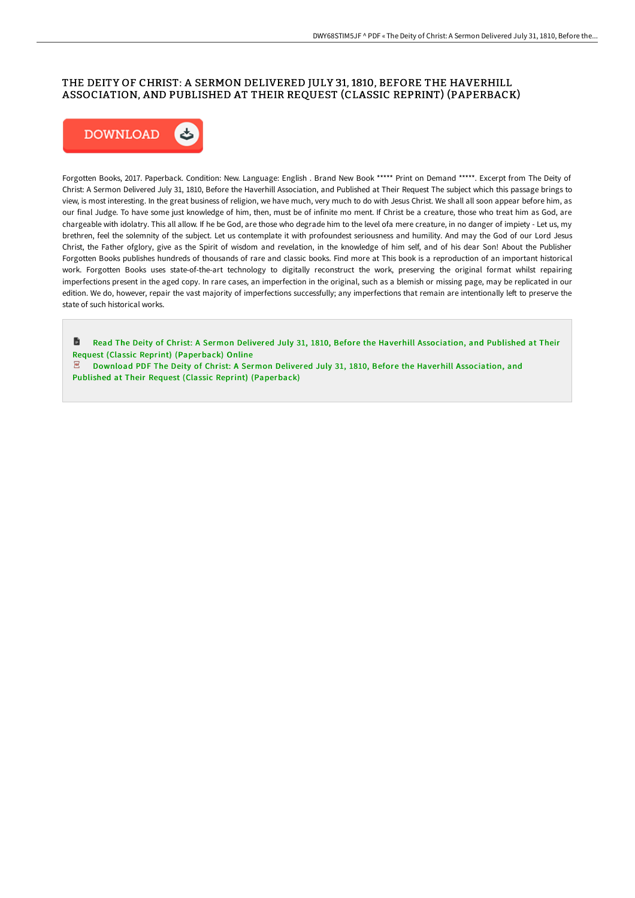## THE DEITY OF CHRIST: A SERMON DELIVERED JULY 31, 1810, BEFORE THE HAVERHILL ASSOCIATION, AND PUBLISHED AT THEIR REQUEST (CLASSIC REPRINT) (PAPERBACK)



Forgotten Books, 2017. Paperback. Condition: New. Language: English . Brand New Book \*\*\*\*\* Print on Demand \*\*\*\*\*. Excerpt from The Deity of Christ: A Sermon Delivered July 31, 1810, Before the Haverhill Association, and Published at Their Request The subject which this passage brings to view, is most interesting. In the great business of religion, we have much, very much to do with Jesus Christ. We shall all soon appear before him, as our final Judge. To have some just knowledge of him, then, must be of infinite mo ment. If Christ be a creature, those who treat him as God, are chargeable with idolatry. This all allow. If he be God, are those who degrade him to the level ofa mere creature, in no danger of impiety - Let us, my brethren, feel the solemnity of the subject. Let us contemplate it with profoundest seriousness and humility. And may the God of our Lord Jesus Christ, the Father ofglory, give as the Spirit of wisdom and revelation, in the knowledge of him self, and of his dear Son! About the Publisher Forgotten Books publishes hundreds of thousands of rare and classic books. Find more at This book is a reproduction of an important historical work. Forgotten Books uses state-of-the-art technology to digitally reconstruct the work, preserving the original format whilst repairing imperfections present in the aged copy. In rare cases, an imperfection in the original, such as a blemish or missing page, may be replicated in our edition. We do, however, repair the vast majority of imperfections successfully; any imperfections that remain are intentionally left to preserve the state of such historical works.

旨 Read The Deity of Christ: A Sermon Delivered July 31, 1810, Before the Haverhill Association, and Published at Their Request (Classic Reprint) [\(Paperback\)](http://www.bookdirs.com/the-deity-of-christ-a-sermon-delivered-july-31-1.html) Online

Download PDF The Deity of Christ: A Sermon Delivered July 31, 1810, Before the Haverhill [Association,](http://www.bookdirs.com/the-deity-of-christ-a-sermon-delivered-july-31-1.html) and Published at Their Request (Classic Reprint) (Paperback)